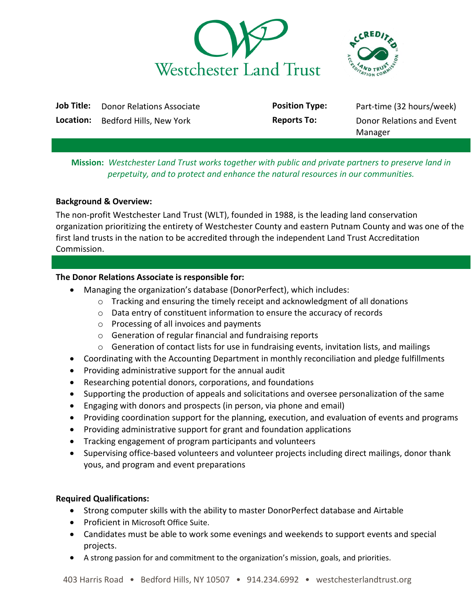



| Job Title: | Donor Relations Associate | <b>Position Type:</b> | Part-time (32 hours/week) |
|------------|---------------------------|-----------------------|---------------------------|
| Location:  | Bedford Hills, New York   | <b>Reports To:</b>    | Donor Relations and Event |
|            |                           |                       | Manager                   |

# **Mission:** *Westchester Land Trust works together with public and private partners to preserve land in perpetuity, and to protect and enhance the natural resources in our communities.*

## **Background & Overview:**

The non-profit Westchester Land Trust (WLT), founded in 1988, is the leading land conservation organization prioritizing the entirety of Westchester County and eastern Putnam County and was one of the first land trusts in the nation to be accredited through the independent Land Trust Accreditation Commission.

## **The Donor Relations Associate is responsible for:**

- Managing the organization's database (DonorPerfect), which includes:
	- $\circ$  Tracking and ensuring the timely receipt and acknowledgment of all donations
	- $\circ$  Data entry of constituent information to ensure the accuracy of records
	- o Processing of all invoices and payments
	- o Generation of regular financial and fundraising reports
	- o Generation of contact lists for use in fundraising events, invitation lists, and mailings
- Coordinating with the Accounting Department in monthly reconciliation and pledge fulfillments
- Providing administrative support for the annual audit
- Researching potential donors, corporations, and foundations
- Supporting the production of appeals and solicitations and oversee personalization of the same
- Engaging with donors and prospects (in person, via phone and email)
- Providing coordination support for the planning, execution, and evaluation of events and programs
- Providing administrative support for grant and foundation applications
- Tracking engagement of program participants and volunteers
- Supervising office-based volunteers and volunteer projects including direct mailings, donor thank yous, and program and event preparations

# **Required Qualifications:**

- Strong computer skills with the ability to master DonorPerfect database and Airtable
- Proficient in Microsoft Office Suite.
- Candidates must be able to work some evenings and weekends to support events and special projects.
- A strong passion for and commitment to the organization's mission, goals, and priorities.